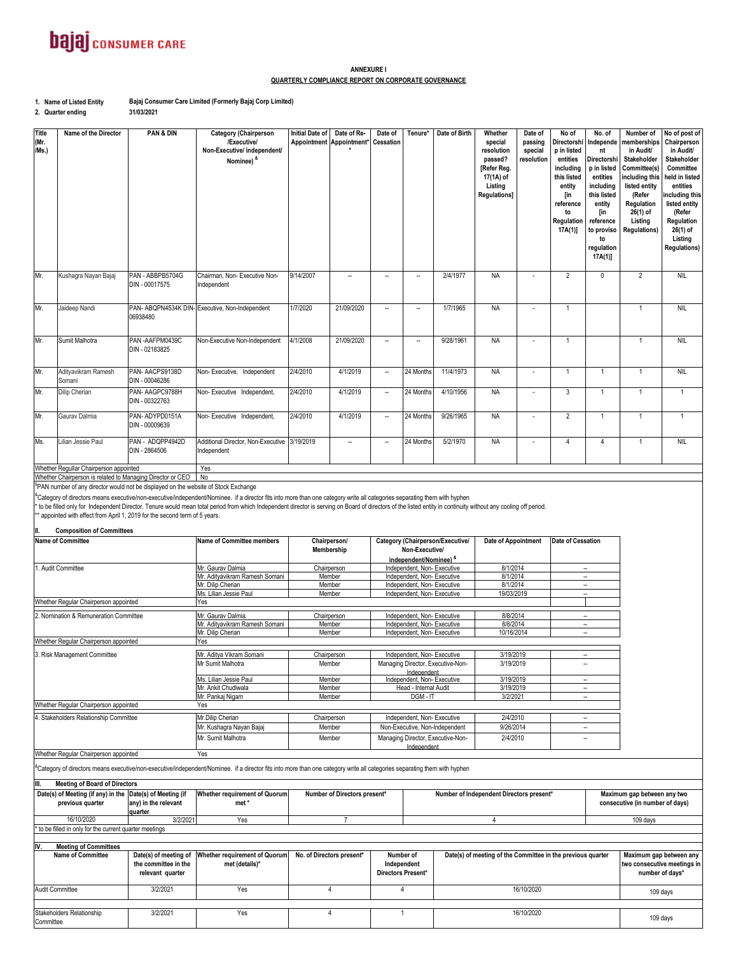### **bajaj** consumer CARE

#### **ANNEXURE I QUARTERLY COMPLIANCE REPORT ON CORPORATE GOVERNANCE**

**1. Name of Listed Entity Bajaj Consumer Care Limited (Formerly Bajaj Corp Limited)**

**2. Quarter ending**

**31/03/2021**

| <b>Title</b><br>(Mr.<br>/Ms.)                                                                                                                                                                                                                                                                                                                                                                                                                                                                                                                                                                      | Name of the Director                                       | <b>PAN &amp; DIN</b>               | <b>Category (Chairperson</b><br>/Executive/<br>Non-Executive/ independent/<br>Nominee) & | <b>Initial Date of</b>                                | Date of Re-<br>Appointment Appointment* | Date of<br>Cessation                                     | Tenure*                                                  | Date of Birth                    | Whether<br>special<br>resolution<br>passed?<br>[Refer Reg.<br>17(1A) of<br>Listing<br>Regulations] | Date of<br>passing<br>special<br>resolution          | No of<br>Directorshi<br>p in listed<br>entities<br>including<br>this listed<br>entity<br>[in<br>reference<br>to<br>Regulation<br>17A(1) | No. of<br>Independe<br>nt<br>Directorshi<br>p in listed<br>entities<br>including<br>this listed<br>entity<br>[in<br>reference<br>to proviso<br>to<br>regulation<br>17A(1) | Number of<br>memberships<br>in Audit/<br>Stakeholder<br>Committee(s)<br>including this<br>listed entity<br>(Refer<br>Regulation<br>26(1) of<br>Listing<br><b>Regulations)</b> | No of post of<br>Chairperson<br>in Audit/<br>Stakeholder<br>Committee<br>held in listed<br>entities<br>ncluding this<br>listed entity<br>(Refer<br>Regulation<br>26(1) of<br>Listing<br><b>Regulations)</b> |
|----------------------------------------------------------------------------------------------------------------------------------------------------------------------------------------------------------------------------------------------------------------------------------------------------------------------------------------------------------------------------------------------------------------------------------------------------------------------------------------------------------------------------------------------------------------------------------------------------|------------------------------------------------------------|------------------------------------|------------------------------------------------------------------------------------------|-------------------------------------------------------|-----------------------------------------|----------------------------------------------------------|----------------------------------------------------------|----------------------------------|----------------------------------------------------------------------------------------------------|------------------------------------------------------|-----------------------------------------------------------------------------------------------------------------------------------------|---------------------------------------------------------------------------------------------------------------------------------------------------------------------------|-------------------------------------------------------------------------------------------------------------------------------------------------------------------------------|-------------------------------------------------------------------------------------------------------------------------------------------------------------------------------------------------------------|
| Mr.                                                                                                                                                                                                                                                                                                                                                                                                                                                                                                                                                                                                | Kushagra Nayan Bajaj                                       | PAN - ABBPB5704G<br>DIN - 00017575 | Chairman, Non- Executive Non-<br>Independent                                             | 9/14/2007                                             | ÷.                                      | $\overline{\phantom{a}}$                                 | ÷.                                                       | 2/4/1977                         | <b>NA</b>                                                                                          |                                                      | $\overline{2}$                                                                                                                          | $\mathbf 0$                                                                                                                                                               | $\overline{2}$                                                                                                                                                                | <b>NIL</b>                                                                                                                                                                                                  |
| Mr.                                                                                                                                                                                                                                                                                                                                                                                                                                                                                                                                                                                                | Jaideep Nandi                                              | 06938480                           | PAN- ABQPN4534K DIN- Executive, Non-Independent                                          | 1/7/2020                                              | 21/09/2020                              | ÷,                                                       | $\sim$                                                   | 1/7/1965                         | <b>NA</b>                                                                                          |                                                      | $\overline{1}$                                                                                                                          |                                                                                                                                                                           | $\overline{1}$                                                                                                                                                                | <b>NIL</b>                                                                                                                                                                                                  |
| Mr.                                                                                                                                                                                                                                                                                                                                                                                                                                                                                                                                                                                                | Sumit Malhotra                                             | PAN-AAFPM0439C<br>DIN - 02183825   | Non-Executive Non-Independent                                                            | 4/1/2008                                              | 21/09/2020                              | $\bar{a}$                                                | $\overline{\phantom{a}}$                                 | 9/28/1961                        | <b>NA</b>                                                                                          |                                                      | $\mathbf{1}$                                                                                                                            |                                                                                                                                                                           | $\overline{1}$                                                                                                                                                                | <b>NIL</b>                                                                                                                                                                                                  |
| Mr.                                                                                                                                                                                                                                                                                                                                                                                                                                                                                                                                                                                                | Adityavikram Ramesh<br>Somani                              | PAN-AACPS9138D<br>DIN - 00046286   | Non-Executive, Independent                                                               | 2/4/2010                                              | 4/1/2019                                | $\overline{\phantom{a}}$                                 | 24 Months                                                | 11/4/1973                        | <b>NA</b>                                                                                          |                                                      | $\overline{1}$                                                                                                                          | 1                                                                                                                                                                         | 1                                                                                                                                                                             | <b>NIL</b>                                                                                                                                                                                                  |
| Mr.                                                                                                                                                                                                                                                                                                                                                                                                                                                                                                                                                                                                | Dilip Cherian                                              | PAN-AAGPC9788H<br>DIN - 00322763   | Non-Executive Independent,                                                               | 2/4/2010                                              | 4/1/2019                                | $\overline{\phantom{a}}$                                 | 24 Months                                                | 4/10/1956                        | <b>NA</b>                                                                                          | $\sim$                                               | $\mathbf{3}$                                                                                                                            | $\overline{1}$                                                                                                                                                            | $\overline{1}$                                                                                                                                                                | $\mathbf{1}$                                                                                                                                                                                                |
| Mr.                                                                                                                                                                                                                                                                                                                                                                                                                                                                                                                                                                                                | Gaurav Dalmia                                              | PAN-ADYPD0151A<br>DIN - 00009639   | Non-Executive Independent,                                                               | 2/4/2010                                              | 4/1/2019                                | ÷,                                                       | 24 Months                                                | 9/26/1965                        | <b>NA</b>                                                                                          |                                                      | $\overline{2}$                                                                                                                          | $\overline{1}$                                                                                                                                                            | $\mathbf{1}$                                                                                                                                                                  | $\mathbf{1}$                                                                                                                                                                                                |
| Ms.                                                                                                                                                                                                                                                                                                                                                                                                                                                                                                                                                                                                | Lilian Jessie Paul                                         | PAN - ADQPP4942D<br>DIN - 2864506  | Additional Director, Non-Executive<br>ndependent                                         | 3/19/2019                                             | ۰.                                      | $\overline{\phantom{a}}$                                 | 24 Months                                                | 5/2/1970                         | <b>NA</b>                                                                                          |                                                      | $\overline{4}$                                                                                                                          | $\overline{4}$                                                                                                                                                            | $\mathbf{1}$                                                                                                                                                                  | <b>NIL</b>                                                                                                                                                                                                  |
|                                                                                                                                                                                                                                                                                                                                                                                                                                                                                                                                                                                                    | Whether Regullar Chairperson appointed                     |                                    | Yes                                                                                      |                                                       |                                         |                                                          |                                                          |                                  |                                                                                                    |                                                      |                                                                                                                                         |                                                                                                                                                                           |                                                                                                                                                                               |                                                                                                                                                                                                             |
|                                                                                                                                                                                                                                                                                                                                                                                                                                                                                                                                                                                                    | Whether Chairperson is related to Managing Director or CEO |                                    | No                                                                                       |                                                       |                                         |                                                          |                                                          |                                  |                                                                                                    |                                                      |                                                                                                                                         |                                                                                                                                                                           |                                                                                                                                                                               |                                                                                                                                                                                                             |
| PAN number of any director would not be displayed on the website of Stock Exchange<br>Category of directors means executive/non-executive/independent/Nominee. if a director fits into more than one category write all categories separating them with hyphen<br>to be filled only for Independent Director. Tenure would mean total period from which Independent director is serving on Board of directors of the listed entity in continuity without any cooling off period.<br>* appointed with effect from April 1, 2019 for the second term of 5 years.<br><b>Composition of Committees</b> |                                                            |                                    |                                                                                          |                                                       |                                         |                                                          |                                                          |                                  |                                                                                                    |                                                      |                                                                                                                                         |                                                                                                                                                                           |                                                                                                                                                                               |                                                                                                                                                                                                             |
|                                                                                                                                                                                                                                                                                                                                                                                                                                                                                                                                                                                                    | <b>Name of Committee</b>                                   |                                    | <b>Name of Committee members</b>                                                         |                                                       | Chairperson/                            |                                                          |                                                          | Category (Chairperson/Executive/ | Date of Appointment                                                                                |                                                      | Date of Cessation                                                                                                                       |                                                                                                                                                                           |                                                                                                                                                                               |                                                                                                                                                                                                             |
|                                                                                                                                                                                                                                                                                                                                                                                                                                                                                                                                                                                                    |                                                            |                                    |                                                                                          |                                                       | Membership                              |                                                          | Non-Executive/                                           |                                  |                                                                                                    |                                                      |                                                                                                                                         |                                                                                                                                                                           |                                                                                                                                                                               |                                                                                                                                                                                                             |
| 1. Audit Committee                                                                                                                                                                                                                                                                                                                                                                                                                                                                                                                                                                                 |                                                            |                                    | Mr. Gaurav Dalmia                                                                        |                                                       | Chairperson                             | independent/Nominee) &<br>Independent, Non-Executive     |                                                          |                                  | 8/1/2014                                                                                           |                                                      | ÷.                                                                                                                                      |                                                                                                                                                                           |                                                                                                                                                                               |                                                                                                                                                                                                             |
|                                                                                                                                                                                                                                                                                                                                                                                                                                                                                                                                                                                                    |                                                            |                                    | Mr. Adityavikram Ramesh Somani                                                           | Member                                                |                                         |                                                          | Independent, Non-Executive                               |                                  | 8/1/2014                                                                                           |                                                      | L,                                                                                                                                      |                                                                                                                                                                           |                                                                                                                                                                               |                                                                                                                                                                                                             |
|                                                                                                                                                                                                                                                                                                                                                                                                                                                                                                                                                                                                    |                                                            |                                    | Mr. Dilip Cherian<br>Ms. Lilian Jessie Paul                                              | Member<br>Member                                      |                                         |                                                          | Independent, Non-Executive<br>Independent, Non-Executive |                                  | 8/1/2014<br>19/03/2019                                                                             |                                                      | <br>÷.                                                                                                                                  |                                                                                                                                                                           |                                                                                                                                                                               |                                                                                                                                                                                                             |
| Whether Regular Chairperson appointed<br>Yes                                                                                                                                                                                                                                                                                                                                                                                                                                                                                                                                                       |                                                            |                                    |                                                                                          |                                                       |                                         |                                                          |                                                          |                                  |                                                                                                    |                                                      |                                                                                                                                         |                                                                                                                                                                           |                                                                                                                                                                               |                                                                                                                                                                                                             |
|                                                                                                                                                                                                                                                                                                                                                                                                                                                                                                                                                                                                    | 2. Nomination & Remuneration Committee                     |                                    | Mr. Gaurav Dalmia                                                                        |                                                       | Chairperson                             |                                                          | Independent, Non-Executive                               |                                  | 8/8/2014                                                                                           |                                                      |                                                                                                                                         | Ξ.                                                                                                                                                                        |                                                                                                                                                                               |                                                                                                                                                                                                             |
|                                                                                                                                                                                                                                                                                                                                                                                                                                                                                                                                                                                                    |                                                            |                                    | Mr. Adityavikram Ramesh Somani<br>Mr. Dilip Cherian                                      | Member<br>Member                                      |                                         | Independent, Non-Executive<br>Independent, Non-Executive |                                                          | 8/8/2014<br>10/16/2014           |                                                                                                    | $\overline{\phantom{a}}$<br>$\overline{\phantom{a}}$ |                                                                                                                                         |                                                                                                                                                                           |                                                                                                                                                                               |                                                                                                                                                                                                             |
| Whether Regular Chairperson appointed                                                                                                                                                                                                                                                                                                                                                                                                                                                                                                                                                              |                                                            |                                    | Yes                                                                                      |                                                       |                                         |                                                          |                                                          |                                  |                                                                                                    |                                                      |                                                                                                                                         |                                                                                                                                                                           |                                                                                                                                                                               |                                                                                                                                                                                                             |
| 3. Risk Management Committee                                                                                                                                                                                                                                                                                                                                                                                                                                                                                                                                                                       |                                                            |                                    | Mr. Aditva Vikram Somani<br>Chairperson                                                  |                                                       | Independent, Non-Executive              |                                                          | 3/19/2019                                                |                                  |                                                                                                    | $\overline{\phantom{a}}$                             |                                                                                                                                         |                                                                                                                                                                           |                                                                                                                                                                               |                                                                                                                                                                                                             |
|                                                                                                                                                                                                                                                                                                                                                                                                                                                                                                                                                                                                    |                                                            |                                    | Mr Sumit Malhotra                                                                        | Member                                                |                                         | Managing Director, Executive-Non-                        |                                                          | 3/19/2019                        |                                                                                                    |                                                      |                                                                                                                                         |                                                                                                                                                                           |                                                                                                                                                                               |                                                                                                                                                                                                             |
|                                                                                                                                                                                                                                                                                                                                                                                                                                                                                                                                                                                                    |                                                            |                                    | Ms. Lilian Jessie Paul                                                                   | Member                                                |                                         | Independent<br>Independent, Non-Executive                |                                                          | 3/19/2019                        |                                                                                                    |                                                      | $\overline{\phantom{a}}$                                                                                                                |                                                                                                                                                                           |                                                                                                                                                                               |                                                                                                                                                                                                             |
|                                                                                                                                                                                                                                                                                                                                                                                                                                                                                                                                                                                                    |                                                            |                                    | Mr. Ankit Chudiwala                                                                      | Member                                                |                                         | Head - Internal Audit                                    |                                                          | 3/19/2019<br>3/2/2021            |                                                                                                    |                                                      | ÷.                                                                                                                                      |                                                                                                                                                                           |                                                                                                                                                                               |                                                                                                                                                                                                             |
| Whether Regular Chairperson appointed                                                                                                                                                                                                                                                                                                                                                                                                                                                                                                                                                              |                                                            |                                    | Mr. Pankaj Nigam<br>Yes                                                                  | Member<br>DGM-IT                                      |                                         |                                                          |                                                          |                                  |                                                                                                    |                                                      |                                                                                                                                         | $\overline{\phantom{a}}$                                                                                                                                                  |                                                                                                                                                                               |                                                                                                                                                                                                             |
| 4. Stakeholders Relationship Committee                                                                                                                                                                                                                                                                                                                                                                                                                                                                                                                                                             |                                                            |                                    | Mr.Dilip Cherian                                                                         | 2/4/2010<br>Independent, Non-Executive<br>Chairperson |                                         |                                                          |                                                          |                                  | $\overline{\phantom{a}}$                                                                           |                                                      |                                                                                                                                         |                                                                                                                                                                           |                                                                                                                                                                               |                                                                                                                                                                                                             |
|                                                                                                                                                                                                                                                                                                                                                                                                                                                                                                                                                                                                    |                                                            | Mr. Kushagra Nayan Bajaj           | Member                                                                                   |                                                       |                                         | Non-Executive, Non-Independent                           |                                                          | 9/26/2014                        |                                                                                                    |                                                      | Ξ.                                                                                                                                      |                                                                                                                                                                           |                                                                                                                                                                               |                                                                                                                                                                                                             |
|                                                                                                                                                                                                                                                                                                                                                                                                                                                                                                                                                                                                    |                                                            |                                    | Mr. Sumit Malhotra                                                                       | Member                                                |                                         | Managing Director, Executive-Non-<br>Independent         |                                                          | 2/4/2010                         |                                                                                                    |                                                      | ÷.                                                                                                                                      |                                                                                                                                                                           |                                                                                                                                                                               |                                                                                                                                                                                                             |
|                                                                                                                                                                                                                                                                                                                                                                                                                                                                                                                                                                                                    | Whether Regular Chairperson appointed                      |                                    | Yes                                                                                      |                                                       |                                         |                                                          |                                                          |                                  |                                                                                                    |                                                      |                                                                                                                                         |                                                                                                                                                                           |                                                                                                                                                                               |                                                                                                                                                                                                             |

<sup>&</sup>Category of directors means executive/non-executive/independent/Nominee. if a director fits into more than one category write all categories separating them with hyphen

**Date(s) of Meeting (if Date(s) of Meeting (if any) in the any) in the relevant quarter Whether requirement of Quorum met \*** 3/2/2021 Yes **III. Meeting of Board of Directors previous quarter Maximum gap between any two consecutive (in number of days) Number of Directors present\* Number of Independent Directors present\*** 16/10/2020 | 3/2/2021 Yes | 7 | 4 109 days \* to be filled in only for the current quarter meetings

**Date(s) of meeting of Whether requirement of Quorum the committee in the relevant quarter met (details)\*** 3/2/2021 Yes 3/2/2021 Yes Audit Committee 109 days **Maximum gap between any two consecutive meetings in number of days\* IV. Meeting of Committees Name of Committee** Stakeholders Relationship<br>Committee out in the committee of the committee of the committee of the committee of the committee of the committee of the committee of the committee of the committee of the committee of the committee of the committee of the committ 4 1 16/10/2020 4 4 16/10/2020 **No. of Directors present\*** Number of **Independent Directors Present\* Date(s) of meeting of the Committee in the previous quarter**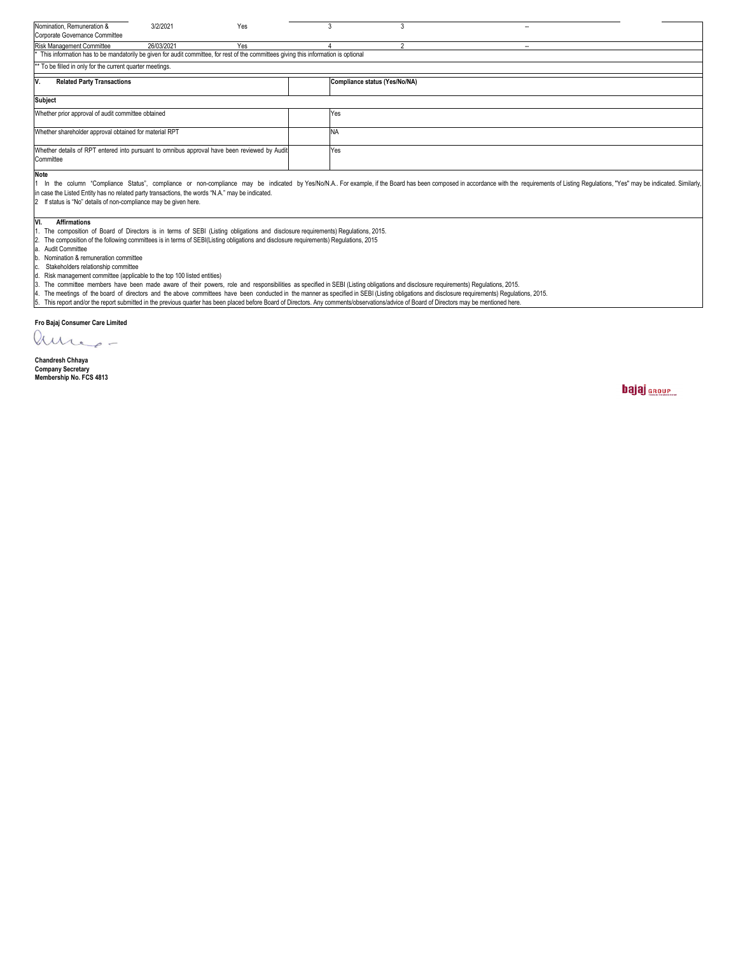| Nomination, Remuneration &                                                                                                                                                                                                                                                                                                                                                                                         | 3/2/2021   | Yes                                                                                                                                | 3 | 3                             |  | $-$    |  |  |  |  |
|--------------------------------------------------------------------------------------------------------------------------------------------------------------------------------------------------------------------------------------------------------------------------------------------------------------------------------------------------------------------------------------------------------------------|------------|------------------------------------------------------------------------------------------------------------------------------------|---|-------------------------------|--|--------|--|--|--|--|
| Corporate Governance Committee                                                                                                                                                                                                                                                                                                                                                                                     |            |                                                                                                                                    |   |                               |  |        |  |  |  |  |
| Risk Management Committee                                                                                                                                                                                                                                                                                                                                                                                          | 26/03/2021 | Yes                                                                                                                                |   | $\Omega$                      |  | $\sim$ |  |  |  |  |
| This information has to be mandatorily be given for audit committee, for rest of the committees giving this information is optional                                                                                                                                                                                                                                                                                |            |                                                                                                                                    |   |                               |  |        |  |  |  |  |
| ** To be filled in only for the current quarter meetings.                                                                                                                                                                                                                                                                                                                                                          |            |                                                                                                                                    |   |                               |  |        |  |  |  |  |
| IV.<br><b>Related Party Transactions</b>                                                                                                                                                                                                                                                                                                                                                                           |            |                                                                                                                                    |   | Compliance status (Yes/No/NA) |  |        |  |  |  |  |
| <b>Subject</b>                                                                                                                                                                                                                                                                                                                                                                                                     |            |                                                                                                                                    |   |                               |  |        |  |  |  |  |
| Whether prior approval of audit committee obtained                                                                                                                                                                                                                                                                                                                                                                 |            |                                                                                                                                    |   | Yes                           |  |        |  |  |  |  |
| Whether shareholder approval obtained for material RPT                                                                                                                                                                                                                                                                                                                                                             |            |                                                                                                                                    |   | <b>NA</b>                     |  |        |  |  |  |  |
| Whether details of RPT entered into pursuant to omnibus approval have been reviewed by Audit<br>Committee                                                                                                                                                                                                                                                                                                          |            |                                                                                                                                    |   | Yes                           |  |        |  |  |  |  |
| <b>Note</b><br>In the column "Compliance Status", compliance or non-compliance may be indicated by Yes/No/N.A For example, if the Board has been composed in accordance with the requirements of Listing Regulations, "Yes" may be indicate<br>in case the Listed Entity has no related party transactions, the words "N.A." may be indicated.<br>2 If status is "No" details of non-compliance may be given here. |            |                                                                                                                                    |   |                               |  |        |  |  |  |  |
| <b>Affirmations</b><br>IVI.<br>The composition of Board of Directors is in terms of SEBI (Listing obligations and disclosure requirements) Regulations, 2015.<br>la. Audit Committee<br>Nomination & remuneration committee<br>Stakeholders relationship committee                                                                                                                                                 |            | The composition of the following committees is in terms of SEBI(Listing obligations and disclosure requirements) Regulations, 2015 |   |                               |  |        |  |  |  |  |

d. Risk management committee (applicable to the top 100 listed entities)<br>3. The committee members have been made aware of their powers, role and responsibilities as specified in SEBI (Listing obligations and disclosure req

**Fro Bajaj Consumer Care Limited**

**Sd/-**

Chandresh Chhaya<br>Company Secretary **Membership No. FCS 4813**

bajaj **group**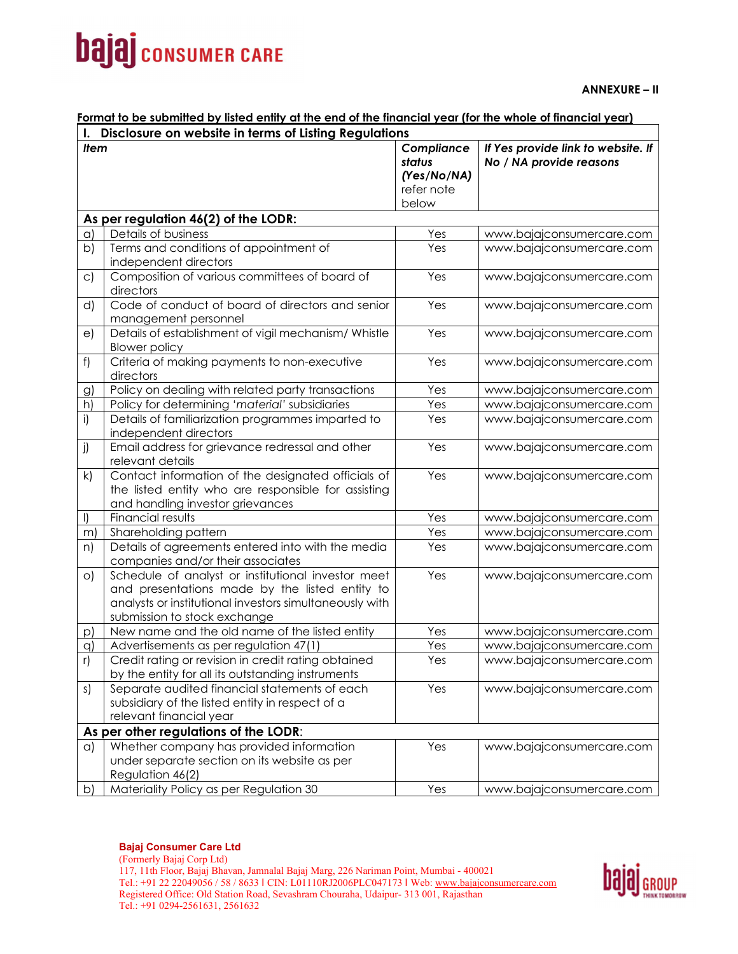# **bajaj** consumer CARE

**ANNEXURE – II** 

### **Format to be submitted by listed entity at the end of the financial year (for the whole of financial year)**

| Disclosure on website in terms of Listing Regulations<br>$\mathbf{l}$ . |                                                                                                                                                                                                 |                                                            |                                                               |  |  |  |  |  |
|-------------------------------------------------------------------------|-------------------------------------------------------------------------------------------------------------------------------------------------------------------------------------------------|------------------------------------------------------------|---------------------------------------------------------------|--|--|--|--|--|
| ltem                                                                    |                                                                                                                                                                                                 | Compliance<br>status<br>(Yes/No/NA)<br>refer note<br>below | If Yes provide link to website. If<br>No / NA provide reasons |  |  |  |  |  |
|                                                                         | As per regulation 46(2) of the LODR:                                                                                                                                                            |                                                            |                                                               |  |  |  |  |  |
| $\alpha$                                                                | Details of business                                                                                                                                                                             | Yes                                                        | www.bajajconsumercare.com                                     |  |  |  |  |  |
| b)                                                                      | Terms and conditions of appointment of<br>independent directors                                                                                                                                 | Yes                                                        | www.bajajconsumercare.com                                     |  |  |  |  |  |
| $\mathsf{C}$                                                            | Composition of various committees of board of<br>directors                                                                                                                                      | Yes                                                        | www.bajajconsumercare.com                                     |  |  |  |  |  |
| d)                                                                      | Code of conduct of board of directors and senior<br>management personnel                                                                                                                        | Yes                                                        | www.bajajconsumercare.com                                     |  |  |  |  |  |
| e)                                                                      | Details of establishment of vigil mechanism/ Whistle<br><b>Blower policy</b>                                                                                                                    | Yes                                                        | www.bajajconsumercare.com                                     |  |  |  |  |  |
| f)                                                                      | Criteria of making payments to non-executive<br>directors                                                                                                                                       | Yes                                                        | www.bajajconsumercare.com                                     |  |  |  |  |  |
| $\mathcal{G}$                                                           | Policy on dealing with related party transactions                                                                                                                                               | Yes                                                        | www.bajajconsumercare.com                                     |  |  |  |  |  |
| h)                                                                      | Policy for determining 'material' subsidiaries                                                                                                                                                  | Yes                                                        | www.bajajconsumercare.com                                     |  |  |  |  |  |
| i)                                                                      | Details of familiarization programmes imparted to<br>independent directors                                                                                                                      | Yes                                                        | www.bajajconsumercare.com                                     |  |  |  |  |  |
| j)                                                                      | Email address for grievance redressal and other<br>relevant details                                                                                                                             | Yes                                                        | www.bajajconsumercare.com                                     |  |  |  |  |  |
| k)                                                                      | Contact information of the designated officials of<br>the listed entity who are responsible for assisting<br>and handling investor grievances                                                   | Yes                                                        | www.bajajconsumercare.com                                     |  |  |  |  |  |
| $\vert$                                                                 | Financial results                                                                                                                                                                               | Yes                                                        | www.bajajconsumercare.com                                     |  |  |  |  |  |
| m                                                                       | Shareholding pattern                                                                                                                                                                            | Yes                                                        | www.bajajconsumercare.com                                     |  |  |  |  |  |
| n)                                                                      | Details of agreements entered into with the media<br>companies and/or their associates                                                                                                          | Yes                                                        | www.bajajconsumercare.com                                     |  |  |  |  |  |
| $\circ$                                                                 | Schedule of analyst or institutional investor meet<br>and presentations made by the listed entity to<br>analysts or institutional investors simultaneously with<br>submission to stock exchange | Yes                                                        | www.bajajconsumercare.com                                     |  |  |  |  |  |
| p)                                                                      | New name and the old name of the listed entity                                                                                                                                                  | Yes                                                        | www.bajajconsumercare.com                                     |  |  |  |  |  |
| q)                                                                      | Advertisements as per regulation 47(1)                                                                                                                                                          | Yes                                                        | www.bajajconsumercare.com                                     |  |  |  |  |  |
| r)                                                                      | Credit rating or revision in credit rating obtained<br>by the entity for all its outstanding instruments                                                                                        | Yes                                                        | www.bajajconsumercare.com                                     |  |  |  |  |  |
| s)                                                                      | Separate audited financial statements of each<br>subsidiary of the listed entity in respect of a<br>relevant financial year                                                                     | Yes                                                        | www.bajajconsumercare.com                                     |  |  |  |  |  |
|                                                                         | As per other regulations of the LODR:                                                                                                                                                           |                                                            |                                                               |  |  |  |  |  |
| a)                                                                      | Whether company has provided information<br>under separate section on its website as per<br>Regulation 46(2)                                                                                    | Yes                                                        | www.bajajconsumercare.com                                     |  |  |  |  |  |
| b)                                                                      | Materiality Policy as per Regulation 30                                                                                                                                                         | Yes                                                        | www.bajajconsumercare.com                                     |  |  |  |  |  |

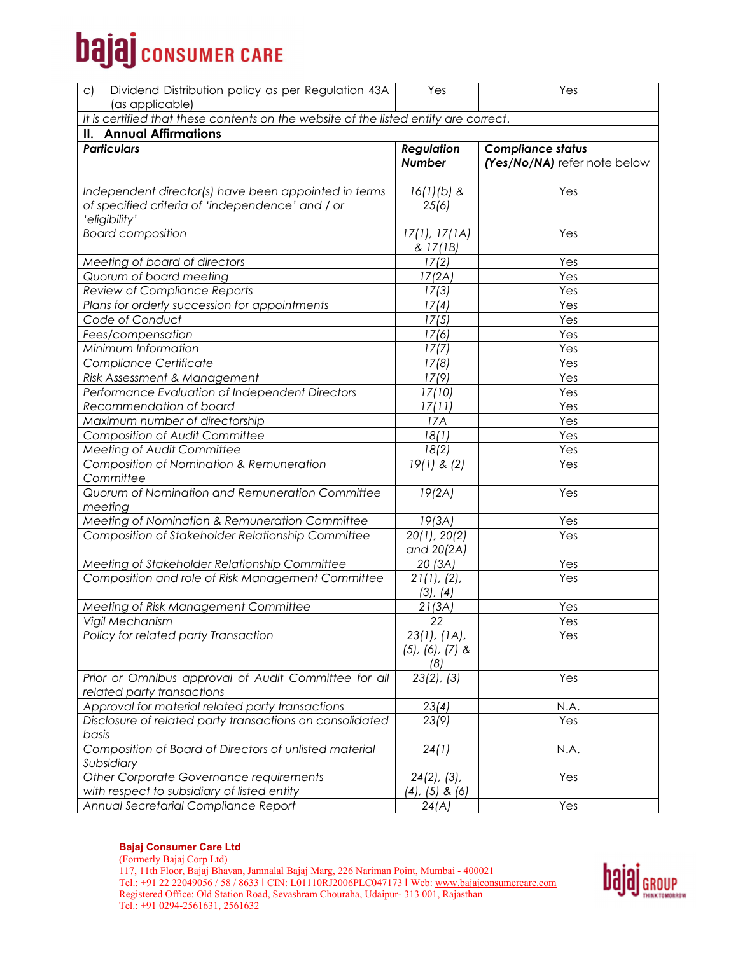# **bajaj** consumer CARE

| Dividend Distribution policy as per Regulation 43A<br>$\mathsf{C}$<br>(as applicable)                                     | Yes                                            | Yes                          |  |  |  |  |  |  |
|---------------------------------------------------------------------------------------------------------------------------|------------------------------------------------|------------------------------|--|--|--|--|--|--|
|                                                                                                                           |                                                |                              |  |  |  |  |  |  |
| It is certified that these contents on the website of the listed entity are correct.<br><b>II. Annual Affirmations</b>    |                                                |                              |  |  |  |  |  |  |
| <b>Particulars</b>                                                                                                        | <b>Regulation</b>                              | <b>Compliance status</b>     |  |  |  |  |  |  |
|                                                                                                                           | <b>Number</b>                                  | (Yes/No/NA) refer note below |  |  |  |  |  |  |
| Independent director(s) have been appointed in terms<br>of specified criteria of 'independence' and / or<br>'eligibility' | $16(1)(b)$ &<br>25(6)                          | Yes                          |  |  |  |  |  |  |
| <b>Board composition</b>                                                                                                  | 17(1), 17(1A)<br>& 17(1B)                      | Yes                          |  |  |  |  |  |  |
| Meeting of board of directors                                                                                             | 17(2)                                          | Yes                          |  |  |  |  |  |  |
| Quorum of board meeting                                                                                                   | 17(2A)                                         | Yes                          |  |  |  |  |  |  |
| Review of Compliance Reports                                                                                              | 17(3)                                          | Yes                          |  |  |  |  |  |  |
| Plans for orderly succession for appointments                                                                             | 17(4)                                          | Yes                          |  |  |  |  |  |  |
| Code of Conduct                                                                                                           | 17(5)                                          | Yes                          |  |  |  |  |  |  |
| Fees/compensation                                                                                                         | 17(6)                                          | Yes                          |  |  |  |  |  |  |
| Minimum Information                                                                                                       | 17(7)                                          | Yes                          |  |  |  |  |  |  |
| Compliance Certificate                                                                                                    | 17(8)                                          | Yes                          |  |  |  |  |  |  |
| Risk Assessment & Management                                                                                              | 17(9)                                          | Yes                          |  |  |  |  |  |  |
| Performance Evaluation of Independent Directors                                                                           | 17(10)                                         | Yes                          |  |  |  |  |  |  |
| Recommendation of board                                                                                                   | 17(11)                                         | Yes                          |  |  |  |  |  |  |
| Maximum number of directorship                                                                                            | 17A                                            | Yes                          |  |  |  |  |  |  |
| <b>Composition of Audit Committee</b>                                                                                     | 18(1)                                          | Yes                          |  |  |  |  |  |  |
| Meeting of Audit Committee                                                                                                | 18(2)                                          | Yes                          |  |  |  |  |  |  |
| Composition of Nomination & Remuneration<br>Committee                                                                     | $19(1)$ & $(2)$                                | Yes                          |  |  |  |  |  |  |
| Quorum of Nomination and Remuneration Committee<br>meeting                                                                | 19(2A)                                         | Yes                          |  |  |  |  |  |  |
| Meeting of Nomination & Remuneration Committee                                                                            | 19(3A)                                         | Yes                          |  |  |  |  |  |  |
| Composition of Stakeholder Relationship Committee                                                                         | 20(1), 20(2)<br>and 20(2A)                     | Yes                          |  |  |  |  |  |  |
| Meeting of Stakeholder Relationship Committee                                                                             | 20(3A)                                         | Yes                          |  |  |  |  |  |  |
| Composition and role of Risk Management Committee                                                                         | 21(1), (2),<br>(3), (4)                        | Yes                          |  |  |  |  |  |  |
| Meeting of Risk Management Committee                                                                                      | 21(3A)                                         | Yes                          |  |  |  |  |  |  |
| Vigil Mechanism                                                                                                           | 22                                             | Yes                          |  |  |  |  |  |  |
| Policy for related party Transaction                                                                                      | 23(1), (1A),<br>$(5)$ , $(6)$ , $(7)$ &<br>(8) | Yes                          |  |  |  |  |  |  |
| Prior or Omnibus approval of Audit Committee for all<br>related party transactions                                        | $23(2)$ , $(3)$                                | Yes                          |  |  |  |  |  |  |
| Approval for material related party transactions                                                                          | 23(4)                                          | N.A.                         |  |  |  |  |  |  |
| Disclosure of related party transactions on consolidated<br>basis                                                         | 23(9)                                          | Yes                          |  |  |  |  |  |  |
| Composition of Board of Directors of unlisted material<br>Subsidiary                                                      | 24(1)                                          | N.A.                         |  |  |  |  |  |  |
| Other Corporate Governance requirements<br>with respect to subsidiary of listed entity                                    | $24(2)$ , $(3)$ ,<br>$(4)$ , $(5)$ & $(6)$     | Yes                          |  |  |  |  |  |  |
| Annual Secretarial Compliance Report                                                                                      | 24(A)                                          | Yes                          |  |  |  |  |  |  |

(Formerly Bajaj Corp Ltd) 117, 11th Floor, Bajaj Bhavan, Jamnalal Bajaj Marg, 226 Nariman Point, Mumbai - 400021 Tel.: +91 22 22049056 / 58 / 8633 | CIN: L01110RJ2006PLC047173 | Web: www.bajajconsumercare.com Registered Office: Old Station Road, Sevashram Chouraha, Udaipur- 313 001, Rajasthan Tel.: +91 0294-2561631, 2561632